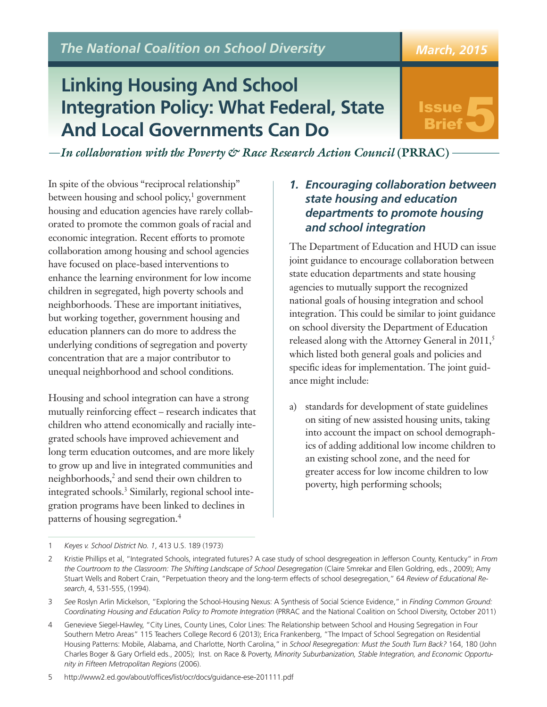*The National Coalition on School Diversity*

# **Linking Housing And School Integration Policy: What Federal, State And Local Governments Can Do**

# Issue ssue 5

*March, 2015*

*In collaboration with the Poverty & Race Research Action Council* **(PRRAC)**

In spite of the obvious "reciprocal relationship" between housing and school policy, <sup>1</sup> government housing and education agencies have rarely collaborated to promote the common goals of racial and economic integration. Recent efforts to promote collaboration among housing and school agencies have focused on place-based interventions to enhance the learning environment for low income children in segregated, high poverty schools and neighborhoods. These are important initiatives, but working together, government housing and education planners can do more to address the underlying conditions of segregation and poverty concentration that are a major contributor to unequal neighborhood and school conditions.

Housing and school integration can have a strong mutually reinforcing effect – research indicates that children who attend economically and racially integrated schools have improved achievement and long term education outcomes, and are more likely to grow up and live in integrated communities and neighborhoods, <sup>2</sup> and send their own children to integrated schools. <sup>3</sup> Similarly, regional school integration programs have been linked to declines in patterns of housing segregation. 4

#### *1. Encouraging collaboration between state housing and education departments to promote housing and school integration*

The Department of Education and HUD can issue joint guidance to encourage collaboration between state education departments and state housing agencies to mutually support the recognized national goals of housing integration and school integration. This could be similar to joint guidance on school diversity the Department of Education released along with the Attorney General in 2011, 5 which listed both general goals and policies and specific ideas for implementation. The joint guidance might include:

a) standards for development of state guidelines on siting of new assisted housing units, taking into account the impact on school demographics of adding additional low income children to an existing school zone, and the need for greater access for low income children to low poverty, high performing schools;

5 http://www2.ed.gov/about/offices/list/ocr/docs/guidance-ese-201111.pdf

<sup>1</sup> *Keyes v. School District No. 1*, 413 U.S. 189 (1973)

<sup>2</sup> Kristie Phillips et al, "Integrated Schools, integrated futures? A case study of school desgregeation in Jefferson County, Kentucky" in *From the Courtroom to the Classroom: The Shifting Landscape of School Desegregation* (Claire Smrekar and Ellen Goldring, eds., 2009); Amy Stuart Wells and Robert Crain, "Perpetuation theory and the long-term effects of school desegregation," 64 *Review of Educational Research*, 4, 531-555, (1994).

<sup>3</sup> *See* Roslyn Arlin Mickelson, "Exploring the School-Housing Nexus: A Synthesis of Social Science Evidence," in *Finding Common Ground: Coordinating Housing and Education Policy to Promote Integration* (PRRAC and the National Coalition on School Diversity, October 2011)

<sup>4</sup> Genevieve Siegel-Hawley, "City Lines, County Lines, Color Lines: The Relationship between School and Housing Segregation in Four Southern Metro Areas" 115 Teachers College Record 6 (2013); Erica Frankenberg, "The Impact of School Segregation on Residential Housing Patterns: Mobile, Alabama, and Charlotte, North Carolina," in *School Resegregation: Must the South Turn Back?* 164, 180 (John Charles Boger & Gary Orfield eds., 2005); Inst. on Race & Poverty, *Minority Suburbanization, Stable Integration, and Economic Opportunity in Fifteen Metropolitan Regions* (2006).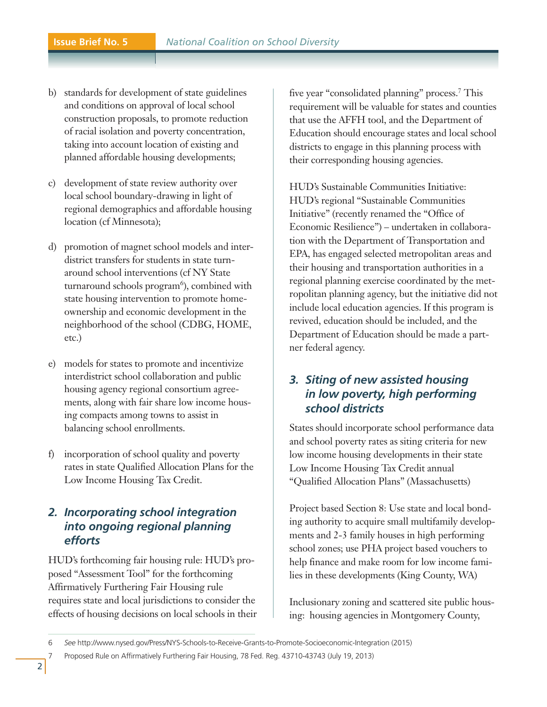- b) standards for development of state guidelines and conditions on approval of local school construction proposals, to promote reduction of racial isolation and poverty concentration, taking into account location of existing and planned affordable housing developments;
- c) development of state review authority over local school boundary-drawing in light of regional demographics and affordable housing location (cf Minnesota);
- d) promotion of magnet school models and interdistrict transfers for students in state turnaround school interventions (cf NY State turnaround schools program<sup>6</sup>), combined with state housing intervention to promote homeownership and economic development in the neighborhood of the school (CDBG, HOME, etc.)
- e) models for states to promote and incentivize interdistrict school collaboration and public housing agency regional consortium agreements, along with fair share low income housing compacts among towns to assist in balancing school enrollments.
- f) incorporation of school quality and poverty rates in state Qualified Allocation Plans for the Low Income Housing Tax Credit.

#### *2. Incorporating school integration into ongoing regional planning efforts*

HUD's forthcoming fair housing rule: HUD's proposed "Assessment Tool" for the forthcoming Affirmatively Furthering Fair Housing rule requires state and local jurisdictions to consider the effects of housing decisions on local schools in their five year "consolidated planning" process. <sup>7</sup> This requirement will be valuable for states and counties that use the AFFH tool, and the Department of Education should encourage states and local school districts to engage in this planning process with their corresponding housing agencies.

HUD's Sustainable Communities Initiative: HUD's regional "Sustainable Communities Initiative" (recently renamed the "Office of Economic Resilience") – undertaken in collaboration with the Department of Transportation and EPA, has engaged selected metropolitan areas and their housing and transportation authorities in a regional planning exercise coordinated by the metropolitan planning agency, but the initiative did not include local education agencies. If this program is revived, education should be included, and the Department of Education should be made a partner federal agency.

## *3. Siting of new assisted housing in low poverty, high performing school districts*

States should incorporate school performance data and school poverty rates as siting criteria for new low income housing developments in their state Low Income Housing Tax Credit annual "Qualified Allocation Plans" (Massachusetts)

Project based Section 8: Use state and local bonding authority to acquire small multifamily developments and 2-3 family houses in high performing school zones; use PHA project based vouchers to help finance and make room for low income families in these developments (King County, WA)

Inclusionary zoning and scattered site public housing: housing agencies in Montgomery County,

<sup>6</sup> *See* http://www.nysed.gov/Press/NYS-Schools-to-Receive-Grants-to-Promote-Socioeconomic-Integration (2015)

<sup>7</sup> Proposed Rule on Affirmatively Furthering Fair Housing, 78 Fed. Reg. 43710-43743 (July 19, 2013)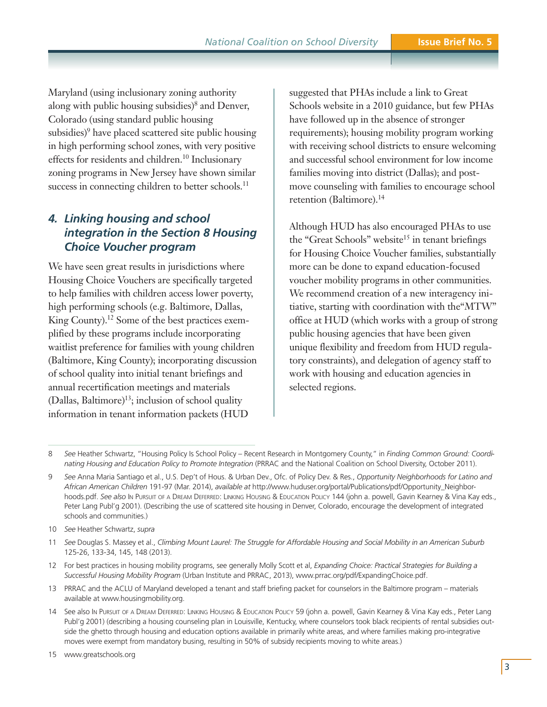Maryland (using inclusionary zoning authority along with public housing subsidies) <sup>8</sup> and Denver, Colorado (using standard public housing subsidies) <sup>9</sup> have placed scattered site public housing in high performing school zones, with very positive effects for residents and children. <sup>10</sup> Inclusionary zoning programs in New Jersey have shown similar success in connecting children to better schools.<sup>11</sup>

#### *4. Linking housing and school integration in the Section 8 Housing Choice Voucher program*

We have seen great results in jurisdictions where Housing Choice Vouchers are specifically targeted to help families with children access lower poverty, high performing schools (e.g. Baltimore, Dallas, King County). <sup>12</sup> Some of the best practices exemplified by these programs include incorporating waitlist preference for families with young children (Baltimore, King County); incorporating discussion of school quality into initial tenant briefings and annual recertification meetings and materials (Dallas, Baltimore) 13 ; inclusion of school quality information in tenant information packets (HUD

suggested that PHAs include a link to Great Schools website in a 2010 guidance, but few PHAs have followed up in the absence of stronger requirements); housing mobility program working with receiving school districts to ensure welcoming and successful school environment for low income families moving into district (Dallas); and postmove counseling with families to encourage school retention (Baltimore). 14

Although HUD has also encouraged PHAs to use the "Great Schools" website<sup>15</sup> in tenant briefings for Housing Choice Voucher families, substantially more can be done to expand education-focused voucher mobility programs in other communities. We recommend creation of a new interagency initiative, starting with coordination with the"MTW" office at HUD (which works with a group of strong public housing agencies that have been given unique flexibility and freedom from HUD regulatory constraints), and delegation of agency staff to work with housing and education agencies in selected regions.

- 12 For best practices in housing mobility programs, see generally Molly Scott et al, *Expanding Choice: Practical Strategies for Building a Successful Housing Mobility Program* (Urban Institute and PRRAC, 2013), www.prrac.org/pdf/ExpandingChoice.pdf.
- 13 PRRAC and the ACLU of Maryland developed a tenant and staff briefing packet for counselors in the Baltimore program materials available at www.housingmobility.org.
- 14 See also IN PURSUIT OF A DREAM DEFERRED: LINKING HOUSING & EDUCATION POLICY 59 (john a. powell, Gavin Kearney & Vina Kay eds., Peter Lang Publ'g 2001) (describing a housing counseling plan in Louisville, Kentucky, where counselors took black recipients of rental subsidies outside the ghetto through housing and education options available in primarily white areas, and where families making pro-integrative moves were exempt from mandatory busing, resulting in 50% of subsidy recipients moving to white areas.)

<sup>8</sup> *See* Heather Schwartz, "Housing Policy Is School Policy – Recent Research in Montgomery County," in *Finding Common Ground: Coordinating Housing and Education Policy to Promote Integration* (PRRAC and the National Coalition on School Diversity, October 2011).

<sup>9</sup> *See* Anna Maria Santiago et al., U.S. Dep't of Hous. & Urban Dev., Ofc. of Policy Dev. & Res., *Opportunity Neighborhoods for Latino and African American Children* 191-97 (Mar. 2014), *available at* http://www.huduser.org/portal/Publications/pdf/Opportunity\_Neighborhoods.pdf. *See also* IN PURSUIT OF A DREAM DEFERRED: LINKING HOUSING & EDUCATION POLICY 144 (john a. powell, Gavin Kearney & Vina Kay eds., Peter Lang Publ'g 2001). (Describing the use of scattered site housing in Denver, Colorado, encourage the development of integrated schools and communities.)

<sup>10</sup> *See* Heather Schwartz, *supra*

<sup>11</sup> See Douglas S. Massey et al., Climbing Mount Laurel: The Struggle for Affordable Housing and Social Mobility in an American Suburb 125-26, 133-34, 145, 148 (2013).

<sup>15</sup> www.greatschools.org